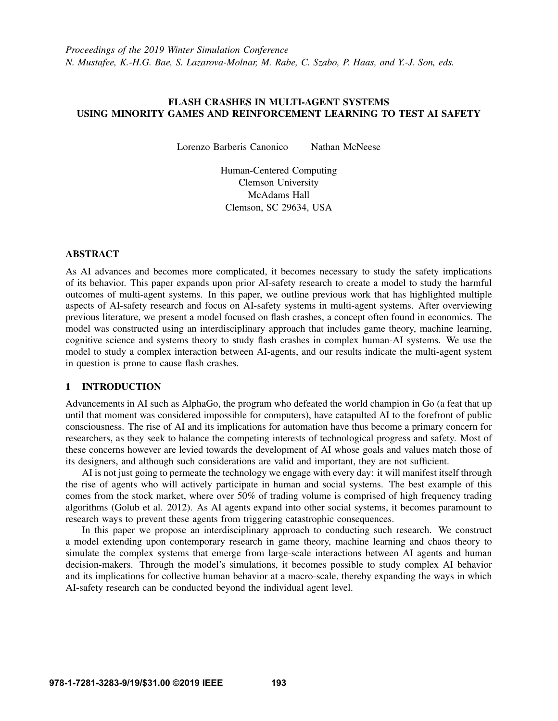# FLASH CRASHES IN MULTI-AGENT SYSTEMS USING MINORITY GAMES AND REINFORCEMENT LEARNING TO TEST AI SAFETY

Lorenzo Barberis Canonico Nathan McNeese

Human-Centered Computing Clemson University McAdams Hall Clemson, SC 29634, USA

### ABSTRACT

As AI advances and becomes more complicated, it becomes necessary to study the safety implications of its behavior. This paper expands upon prior AI-safety research to create a model to study the harmful outcomes of multi-agent systems. In this paper, we outline previous work that has highlighted multiple aspects of AI-safety research and focus on AI-safety systems in multi-agent systems. After overviewing previous literature, we present a model focused on flash crashes, a concept often found in economics. The model was constructed using an interdisciplinary approach that includes game theory, machine learning, cognitive science and systems theory to study flash crashes in complex human-AI systems. We use the model to study a complex interaction between AI-agents, and our results indicate the multi-agent system in question is prone to cause flash crashes.

# 1 INTRODUCTION

Advancements in AI such as AlphaGo, the program who defeated the world champion in Go (a feat that up until that moment was considered impossible for computers), have catapulted AI to the forefront of public consciousness. The rise of AI and its implications for automation have thus become a primary concern for researchers, as they seek to balance the competing interests of technological progress and safety. Most of these concerns however are levied towards the development of AI whose goals and values match those of its designers, and although such considerations are valid and important, they are not sufficient.

AI is not just going to permeate the technology we engage with every day: it will manifest itself through the rise of agents who will actively participate in human and social systems. The best example of this comes from the stock market, where over 50% of trading volume is comprised of high frequency trading algorithms [\(Golub et al. 2012\)](#page-10-0). As AI agents expand into other social systems, it becomes paramount to research ways to prevent these agents from triggering catastrophic consequences.

In this paper we propose an interdisciplinary approach to conducting such research. We construct a model extending upon contemporary research in game theory, machine learning and chaos theory to simulate the complex systems that emerge from large-scale interactions between AI agents and human decision-makers. Through the model's simulations, it becomes possible to study complex AI behavior and its implications for collective human behavior at a macro-scale, thereby expanding the ways in which AI-safety research can be conducted beyond the individual agent level.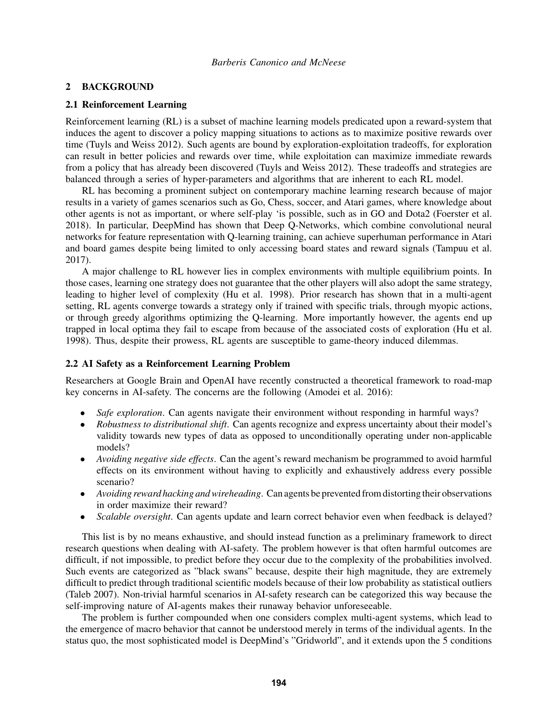# 2 BACKGROUND

### 2.1 Reinforcement Learning

Reinforcement learning (RL) is a subset of machine learning models predicated upon a reward-system that induces the agent to discover a policy mapping situations to actions as to maximize positive rewards over time [\(Tuyls and Weiss 2012\)](#page-11-0). Such agents are bound by exploration-exploitation tradeoffs, for exploration can result in better policies and rewards over time, while exploitation can maximize immediate rewards from a policy that has already been discovered [\(Tuyls and Weiss 2012\)](#page-11-0). These tradeoffs and strategies are balanced through a series of hyper-parameters and algorithms that are inherent to each RL model.

RL has becoming a prominent subject on contemporary machine learning research because of major results in a variety of games scenarios such as Go, Chess, soccer, and Atari games, where knowledge about other agents is not as important, or where self-play 'is possible, such as in GO and Dota2 [\(Foerster et al.](#page-10-1) [2018\)](#page-10-1). In particular, DeepMind has shown that Deep Q-Networks, which combine convolutional neural networks for feature representation with Q-learning training, can achieve superhuman performance in Atari and board games despite being limited to only accessing board states and reward signals [\(Tampuu et al.](#page-10-2) [2017\)](#page-10-2).

A major challenge to RL however lies in complex environments with multiple equilibrium points. In those cases, learning one strategy does not guarantee that the other players will also adopt the same strategy, leading to higher level of complexity [\(Hu et al. 1998\)](#page-10-3). Prior research has shown that in a multi-agent setting, RL agents converge towards a strategy only if trained with specific trials, through myopic actions, or through greedy algorithms optimizing the Q-learning. More importantly however, the agents end up trapped in local optima they fail to escape from because of the associated costs of exploration [\(Hu et al.](#page-10-3) [1998\)](#page-10-3). Thus, despite their prowess, RL agents are susceptible to game-theory induced dilemmas.

#### 2.2 AI Safety as a Reinforcement Learning Problem

Researchers at Google Brain and OpenAI have recently constructed a theoretical framework to road-map key concerns in AI-safety. The concerns are the following [\(Amodei et al. 2016\)](#page-10-4):

- *Safe exploration*. Can agents navigate their environment without responding in harmful ways?
- *Robustness to distributional shift*. Can agents recognize and express uncertainty about their model's validity towards new types of data as opposed to unconditionally operating under non-applicable models?
- *Avoiding negative side effects*. Can the agent's reward mechanism be programmed to avoid harmful effects on its environment without having to explicitly and exhaustively address every possible scenario?
- *Avoiding reward hacking and wireheading*. Can agents be prevented from distorting their observations in order maximize their reward?
- *Scalable oversight*. Can agents update and learn correct behavior even when feedback is delayed?

This list is by no means exhaustive, and should instead function as a preliminary framework to direct research questions when dealing with AI-safety. The problem however is that often harmful outcomes are difficult, if not impossible, to predict before they occur due to the complexity of the probabilities involved. Such events are categorized as "black swans" because, despite their high magnitude, they are extremely difficult to predict through traditional scientific models because of their low probability as statistical outliers [\(Taleb 2007\)](#page-10-5). Non-trivial harmful scenarios in AI-safety research can be categorized this way because the self-improving nature of AI-agents makes their runaway behavior unforeseeable.

The problem is further compounded when one considers complex multi-agent systems, which lead to the emergence of macro behavior that cannot be understood merely in terms of the individual agents. In the status quo, the most sophisticated model is DeepMind's "Gridworld", and it extends upon the 5 conditions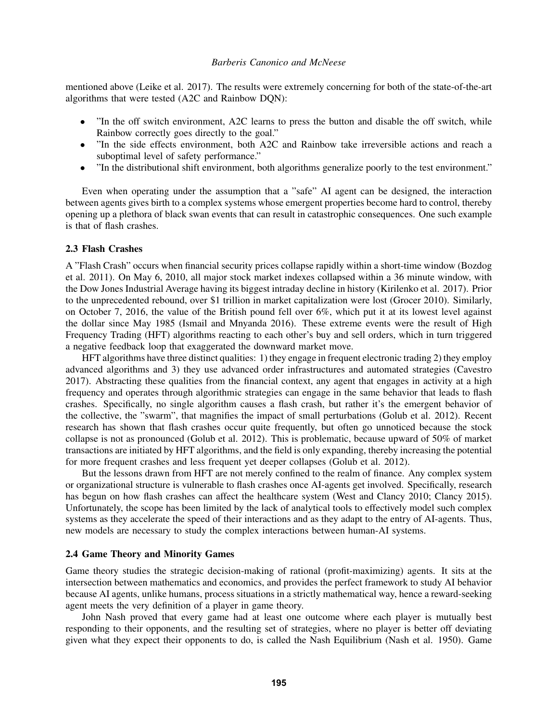mentioned above [\(Leike et al. 2017\)](#page-10-6). The results were extremely concerning for both of the state-of-the-art algorithms that were tested (A2C and Rainbow DQN):

- "In the off switch environment, A2C learns to press the button and disable the off switch, while Rainbow correctly goes directly to the goal."
- "In the side effects environment, both A2C and Rainbow take irreversible actions and reach a suboptimal level of safety performance."
- "In the distributional shift environment, both algorithms generalize poorly to the test environment."

Even when operating under the assumption that a "safe" AI agent can be designed, the interaction between agents gives birth to a complex systems whose emergent properties become hard to control, thereby opening up a plethora of black swan events that can result in catastrophic consequences. One such example is that of flash crashes.

#### 2.3 Flash Crashes

A "Flash Crash" occurs when financial security prices collapse rapidly within a short-time window [\(Bozdog](#page-10-7) [et al. 2011\)](#page-10-7). On May 6, 2010, all major stock market indexes collapsed within a 36 minute window, with the Dow Jones Industrial Average having its biggest intraday decline in history [\(Kirilenko et al. 2017\)](#page-10-8). Prior to the unprecedented rebound, over \$1 trillion in market capitalization were lost [\(Grocer 2010\)](#page-10-9). Similarly, on October 7, 2016, the value of the British pound fell over 6%, which put it at its lowest level against the dollar since May 1985 [\(Ismail and Mnyanda 2016\)](#page-10-10). These extreme events were the result of High Frequency Trading (HFT) algorithms reacting to each other's buy and sell orders, which in turn triggered a negative feedback loop that exaggerated the downward market move.

HFT algorithms have three distinct qualities: 1) they engage in frequent electronic trading 2) they employ advanced algorithms and 3) they use advanced order infrastructures and automated strategies [\(Cavestro](#page-10-11) [2017\)](#page-10-11). Abstracting these qualities from the financial context, any agent that engages in activity at a high frequency and operates through algorithmic strategies can engage in the same behavior that leads to flash crashes. Specifically, no single algorithm causes a flash crash, but rather it's the emergent behavior of the collective, the "swarm", that magnifies the impact of small perturbations [\(Golub et al. 2012\)](#page-10-0). Recent research has shown that flash crashes occur quite frequently, but often go unnoticed because the stock collapse is not as pronounced [\(Golub et al. 2012\)](#page-10-0). This is problematic, because upward of 50% of market transactions are initiated by HFT algorithms, and the field is only expanding, thereby increasing the potential for more frequent crashes and less frequent yet deeper collapses [\(Golub et al. 2012\)](#page-10-0).

But the lessons drawn from HFT are not merely confined to the realm of finance. Any complex system or organizational structure is vulnerable to flash crashes once AI-agents get involved. Specifically, research has begun on how flash crashes can affect the healthcare system [\(West and Clancy 2010;](#page-11-1) [Clancy 2015\)](#page-10-12). Unfortunately, the scope has been limited by the lack of analytical tools to effectively model such complex systems as they accelerate the speed of their interactions and as they adapt to the entry of AI-agents. Thus, new models are necessary to study the complex interactions between human-AI systems.

#### 2.4 Game Theory and Minority Games

Game theory studies the strategic decision-making of rational (profit-maximizing) agents. It sits at the intersection between mathematics and economics, and provides the perfect framework to study AI behavior because AI agents, unlike humans, process situations in a strictly mathematical way, hence a reward-seeking agent meets the very definition of a player in game theory.

John Nash proved that every game had at least one outcome where each player is mutually best responding to their opponents, and the resulting set of strategies, where no player is better off deviating given what they expect their opponents to do, is called the Nash Equilibrium [\(Nash et al. 1950\)](#page-10-13). Game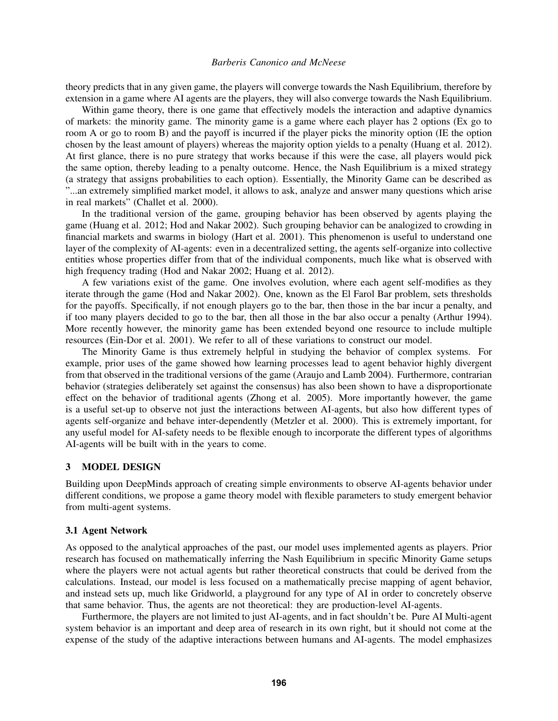theory predicts that in any given game, the players will converge towards the Nash Equilibrium, therefore by extension in a game where AI agents are the players, they will also converge towards the Nash Equilibrium.

Within game theory, there is one game that effectively models the interaction and adaptive dynamics of markets: the minority game. The minority game is a game where each player has 2 options (Ex go to room A or go to room B) and the payoff is incurred if the player picks the minority option (IE the option chosen by the least amount of players) whereas the majority option yields to a penalty [\(Huang et al. 2012\)](#page-10-14). At first glance, there is no pure strategy that works because if this were the case, all players would pick the same option, thereby leading to a penalty outcome. Hence, the Nash Equilibrium is a mixed strategy (a strategy that assigns probabilities to each option). Essentially, the Minority Game can be described as "...an extremely simplified market model, it allows to ask, analyze and answer many questions which arise in real markets" [\(Challet et al. 2000\)](#page-10-15).

In the traditional version of the game, grouping behavior has been observed by agents playing the game [\(Huang et al. 2012;](#page-10-14) [Hod and Nakar 2002\)](#page-10-16). Such grouping behavior can be analogized to crowding in financial markets and swarms in biology [\(Hart et al. 2001\)](#page-10-17). This phenomenon is useful to understand one layer of the complexity of AI-agents: even in a decentralized setting, the agents self-organize into collective entities whose properties differ from that of the individual components, much like what is observed with high frequency trading [\(Hod and Nakar 2002;](#page-10-16) [Huang et al. 2012\)](#page-10-14).

A few variations exist of the game. One involves evolution, where each agent self-modifies as they iterate through the game [\(Hod and Nakar 2002\)](#page-10-16). One, known as the El Farol Bar problem, sets thresholds for the payoffs. Specifically, if not enough players go to the bar, then those in the bar incur a penalty, and if too many players decided to go to the bar, then all those in the bar also occur a penalty [\(Arthur 1994\)](#page-10-18). More recently however, the minority game has been extended beyond one resource to include multiple resources [\(Ein-Dor et al. 2001\)](#page-10-19). We refer to all of these variations to construct our model.

The Minority Game is thus extremely helpful in studying the behavior of complex systems. For example, prior uses of the game showed how learning processes lead to agent behavior highly divergent from that observed in the traditional versions of the game [\(Araujo and Lamb 2004\)](#page-10-20). Furthermore, contrarian behavior (strategies deliberately set against the consensus) has also been shown to have a disproportionate effect on the behavior of traditional agents [\(Zhong et al. 2005\)](#page-11-2). More importantly however, the game is a useful set-up to observe not just the interactions between AI-agents, but also how different types of agents self-organize and behave inter-dependently [\(Metzler et al. 2000\)](#page-10-21). This is extremely important, for any useful model for AI-safety needs to be flexible enough to incorporate the different types of algorithms AI-agents will be built with in the years to come.

# 3 MODEL DESIGN

Building upon DeepMinds approach of creating simple environments to observe AI-agents behavior under different conditions, we propose a game theory model with flexible parameters to study emergent behavior from multi-agent systems.

#### 3.1 Agent Network

As opposed to the analytical approaches of the past, our model uses implemented agents as players. Prior research has focused on mathematically inferring the Nash Equilibrium in specific Minority Game setups where the players were not actual agents but rather theoretical constructs that could be derived from the calculations. Instead, our model is less focused on a mathematically precise mapping of agent behavior, and instead sets up, much like Gridworld, a playground for any type of AI in order to concretely observe that same behavior. Thus, the agents are not theoretical: they are production-level AI-agents.

Furthermore, the players are not limited to just AI-agents, and in fact shouldn't be. Pure AI Multi-agent system behavior is an important and deep area of research in its own right, but it should not come at the expense of the study of the adaptive interactions between humans and AI-agents. The model emphasizes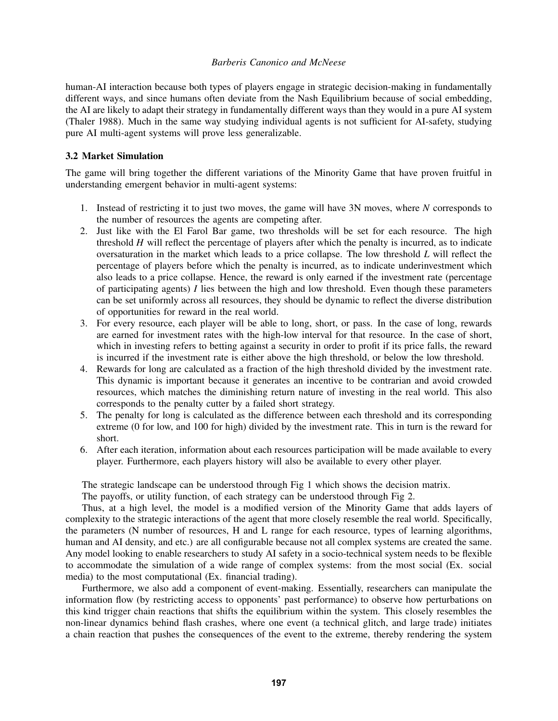human-AI interaction because both types of players engage in strategic decision-making in fundamentally different ways, and since humans often deviate from the Nash Equilibrium because of social embedding, the AI are likely to adapt their strategy in fundamentally different ways than they would in a pure AI system [\(Thaler 1988\)](#page-10-22). Much in the same way studying individual agents is not sufficient for AI-safety, studying pure AI multi-agent systems will prove less generalizable.

### 3.2 Market Simulation

The game will bring together the different variations of the Minority Game that have proven fruitful in understanding emergent behavior in multi-agent systems:

- 1. Instead of restricting it to just two moves, the game will have 3N moves, where *N* corresponds to the number of resources the agents are competing after.
- 2. Just like with the El Farol Bar game, two thresholds will be set for each resource. The high threshold *H* will reflect the percentage of players after which the penalty is incurred, as to indicate oversaturation in the market which leads to a price collapse. The low threshold *L* will reflect the percentage of players before which the penalty is incurred, as to indicate underinvestment which also leads to a price collapse. Hence, the reward is only earned if the investment rate (percentage of participating agents) *I* lies between the high and low threshold. Even though these parameters can be set uniformly across all resources, they should be dynamic to reflect the diverse distribution of opportunities for reward in the real world.
- 3. For every resource, each player will be able to long, short, or pass. In the case of long, rewards are earned for investment rates with the high-low interval for that resource. In the case of short, which in investing refers to betting against a security in order to profit if its price falls, the reward is incurred if the investment rate is either above the high threshold, or below the low threshold.
- 4. Rewards for long are calculated as a fraction of the high threshold divided by the investment rate. This dynamic is important because it generates an incentive to be contrarian and avoid crowded resources, which matches the diminishing return nature of investing in the real world. This also corresponds to the penalty cutter by a failed short strategy.
- 5. The penalty for long is calculated as the difference between each threshold and its corresponding extreme (0 for low, and 100 for high) divided by the investment rate. This in turn is the reward for short.
- 6. After each iteration, information about each resources participation will be made available to every player. Furthermore, each players history will also be available to every other player.

The strategic landscape can be understood through Fig 1 which shows the decision matrix.

The payoffs, or utility function, of each strategy can be understood through Fig 2.

Thus, at a high level, the model is a modified version of the Minority Game that adds layers of complexity to the strategic interactions of the agent that more closely resemble the real world. Specifically, the parameters (N number of resources, H and L range for each resource, types of learning algorithms, human and AI density, and etc.) are all configurable because not all complex systems are created the same. Any model looking to enable researchers to study AI safety in a socio-technical system needs to be flexible to accommodate the simulation of a wide range of complex systems: from the most social (Ex. social media) to the most computational (Ex. financial trading).

Furthermore, we also add a component of event-making. Essentially, researchers can manipulate the information flow (by restricting access to opponents' past performance) to observe how perturbations on this kind trigger chain reactions that shifts the equilibrium within the system. This closely resembles the non-linear dynamics behind flash crashes, where one event (a technical glitch, and large trade) initiates a chain reaction that pushes the consequences of the event to the extreme, thereby rendering the system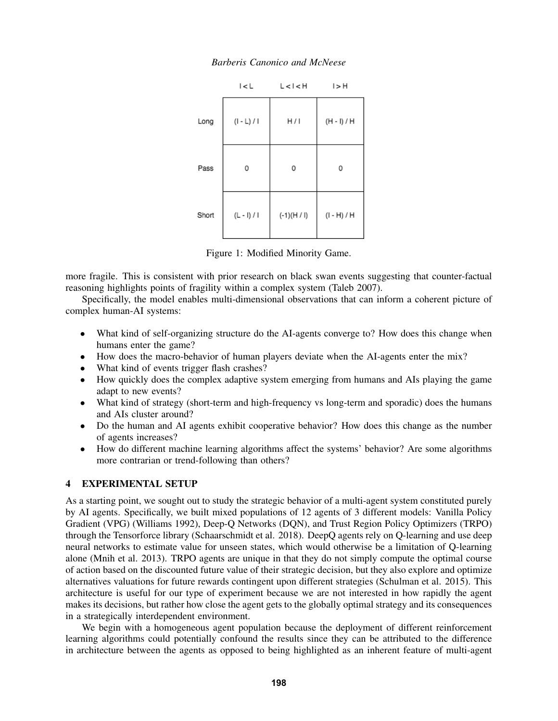|       | I < L         | L < I < H     | I > H         |
|-------|---------------|---------------|---------------|
| Long  | (I - L) / I   | H/I           | $(H - I) / H$ |
| Pass  | 0             | 0             | 0             |
| Short | $(L - I) / I$ | $(-1)(H / I)$ | $(1 - H) / H$ |

*Barberis Canonico and McNeese*

Figure 1: Modified Minority Game.

more fragile. This is consistent with prior research on black swan events suggesting that counter-factual reasoning highlights points of fragility within a complex system [\(Taleb 2007\)](#page-10-5).

Specifically, the model enables multi-dimensional observations that can inform a coherent picture of complex human-AI systems:

- What kind of self-organizing structure do the AI-agents converge to? How does this change when humans enter the game?
- How does the macro-behavior of human players deviate when the AI-agents enter the mix?
- What kind of events trigger flash crashes?
- How quickly does the complex adaptive system emerging from humans and AIs playing the game adapt to new events?
- What kind of strategy (short-term and high-frequency vs long-term and sporadic) does the humans and AIs cluster around?
- Do the human and AI agents exhibit cooperative behavior? How does this change as the number of agents increases?
- How do different machine learning algorithms affect the systems' behavior? Are some algorithms more contrarian or trend-following than others?

# 4 EXPERIMENTAL SETUP

As a starting point, we sought out to study the strategic behavior of a multi-agent system constituted purely by AI agents. Specifically, we built mixed populations of 12 agents of 3 different models: Vanilla Policy Gradient (VPG) [\(Williams 1992\)](#page-11-3), Deep-Q Networks (DQN), and Trust Region Policy Optimizers (TRPO) through the Tensorforce library [\(Schaarschmidt et al. 2018\)](#page-10-23). DeepQ agents rely on Q-learning and use deep neural networks to estimate value for unseen states, which would otherwise be a limitation of Q-learning alone [\(Mnih et al. 2013\)](#page-10-24). TRPO agents are unique in that they do not simply compute the optimal course of action based on the discounted future value of their strategic decision, but they also explore and optimize alternatives valuations for future rewards contingent upon different strategies [\(Schulman et al. 2015\)](#page-10-25). This architecture is useful for our type of experiment because we are not interested in how rapidly the agent makes its decisions, but rather how close the agent gets to the globally optimal strategy and its consequences in a strategically interdependent environment.

We begin with a homogeneous agent population because the deployment of different reinforcement learning algorithms could potentially confound the results since they can be attributed to the difference in architecture between the agents as opposed to being highlighted as an inherent feature of multi-agent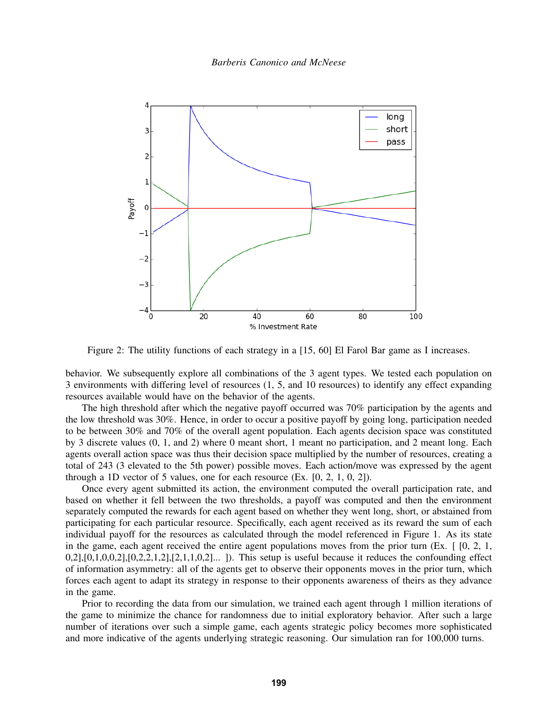

Figure 2: The utility functions of each strategy in a [15, 60] El Farol Bar game as I increases.

behavior. We subsequently explore all combinations of the 3 agent types. We tested each population on 3 environments with differing level of resources (1, 5, and 10 resources) to identify any effect expanding resources available would have on the behavior of the agents.

The high threshold after which the negative payoff occurred was 70% participation by the agents and the low threshold was 30%. Hence, in order to occur a positive payoff by going long, participation needed to be between 30% and 70% of the overall agent population. Each agents decision space was constituted by 3 discrete values (0, 1, and 2) where 0 meant short, 1 meant no participation, and 2 meant long. Each agents overall action space was thus their decision space multiplied by the number of resources, creating a total of 243 (3 elevated to the 5th power) possible moves. Each action/move was expressed by the agent through a 1D vector of 5 values, one for each resource  $(Ex. [0, 2, 1, 0, 2])$ .

Once every agent submitted its action, the environment computed the overall participation rate, and based on whether it fell between the two thresholds, a payoff was computed and then the environment separately computed the rewards for each agent based on whether they went long, short, or abstained from participating for each particular resource. Specifically, each agent received as its reward the sum of each individual payoff for the resources as calculated through the model referenced in Figure 1. As its state in the game, each agent received the entire agent populations moves from the prior turn (Ex.  $[0, 2, 1]$ ,  $0,2]$ , $[0,1,0,0,2]$ , $[0,2,2,1,2]$ , $[2,1,1,0,2]$ ... ]). This setup is useful because it reduces the confounding effect of information asymmetry: all of the agents get to observe their opponents moves in the prior turn, which forces each agent to adapt its strategy in response to their opponents awareness of theirs as they advance in the game.

Prior to recording the data from our simulation, we trained each agent through 1 million iterations of the game to minimize the chance for randomness due to initial exploratory behavior. After such a large number of iterations over such a simple game, each agents strategic policy becomes more sophisticated and more indicative of the agents underlying strategic reasoning. Our simulation ran for 100,000 turns.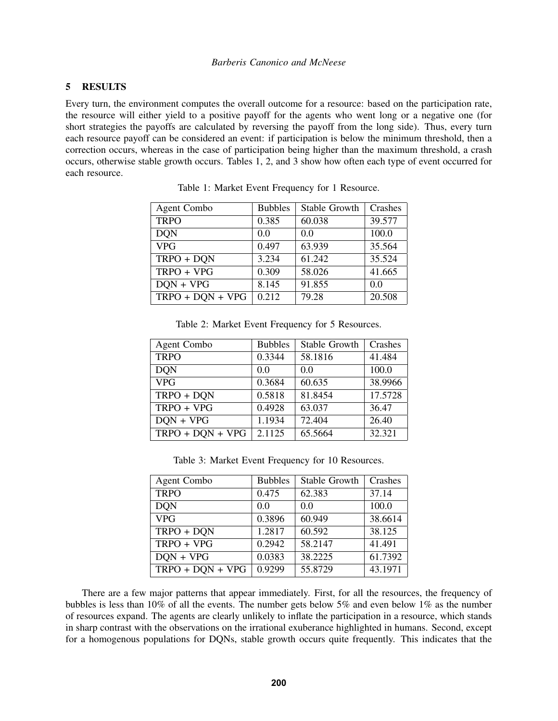# 5 RESULTS

Every turn, the environment computes the overall outcome for a resource: based on the participation rate, the resource will either yield to a positive payoff for the agents who went long or a negative one (for short strategies the payoffs are calculated by reversing the payoff from the long side). Thus, every turn each resource payoff can be considered an event: if participation is below the minimum threshold, then a correction occurs, whereas in the case of participation being higher than the maximum threshold, a crash occurs, otherwise stable growth occurs. Tables [1,](#page-7-0) [2,](#page-7-1) and [3](#page-7-2) show how often each type of event occurred for each resource.

| <b>Agent Combo</b> | <b>Bubbles</b> | Stable Growth | Crashes |
|--------------------|----------------|---------------|---------|
| <b>TRPO</b>        | 0.385          | 60.038        | 39.577  |
| <b>DQN</b>         | 0.0            | 0.0           | 100.0   |
| <b>VPG</b>         | 0.497          | 63.939        | 35.564  |
| TRPO + DQN         | 3.234          | 61.242        | 35.524  |
| $TRPO + VPG$       | 0.309          | 58.026        | 41.665  |
| $DON + VPG$        | 8.145          | 91.855        | 0.0     |
| $TRPO + DQN + VPG$ | 0.212          | 79.28         | 20.508  |

<span id="page-7-0"></span>Table 1: Market Event Frequency for 1 Resource.

| Table 2. Market Event Prequency for 5 Resources. |                     |               |         |  |  |
|--------------------------------------------------|---------------------|---------------|---------|--|--|
| Agent Combo                                      | <b>Bubbles</b>      | Stable Growth | Crashes |  |  |
| <b>TRPO</b>                                      | 0.3344              | 58.1816       | 41.484  |  |  |
| <b>DON</b>                                       | 0.0                 | 0.0           | 100.0   |  |  |
| <b>VPG</b>                                       | 0.3684              | 60.635        | 38.9966 |  |  |
| $TRPO + DQN$                                     | 0.5818              | 81.8454       | 17.5728 |  |  |
| TRPO + VPG                                       | 0.4928              | 63.037        | 36.47   |  |  |
| $DON + VPG$                                      | 1.1934              | 72.404        | 26.40   |  |  |
| $TRPO + DON + VPG$                               | $\overline{2.1125}$ | 65.5664       | 32.321  |  |  |

<span id="page-7-1"></span>Table 2: Market Event Frequency for 5 Resources.

<span id="page-7-2"></span>Table 3: Market Event Frequency for 10 Resources.

| <b>Agent Combo</b> | <b>Bubbles</b> | Stable Growth | Crashes |
|--------------------|----------------|---------------|---------|
| <b>TRPO</b>        | 0.475          | 62.383        | 37.14   |
| <b>DON</b>         | 0.0            | 0.0           | 100.0   |
| <b>VPG</b>         | 0.3896         | 60.949        | 38.6614 |
| $TRPO + DQN$       | 1.2817         | 60.592        | 38.125  |
| TRPO + VPG         | 0.2942         | 58.2147       | 41.491  |
| $DQN + VPG$        | 0.0383         | 38.2225       | 61.7392 |
| $TRPO + DON + VPG$ | 0.9299         | 55.8729       | 43.1971 |

There are a few major patterns that appear immediately. First, for all the resources, the frequency of bubbles is less than 10% of all the events. The number gets below 5% and even below 1% as the number of resources expand. The agents are clearly unlikely to inflate the participation in a resource, which stands in sharp contrast with the observations on the irrational exuberance highlighted in humans. Second, except for a homogenous populations for DQNs, stable growth occurs quite frequently. This indicates that the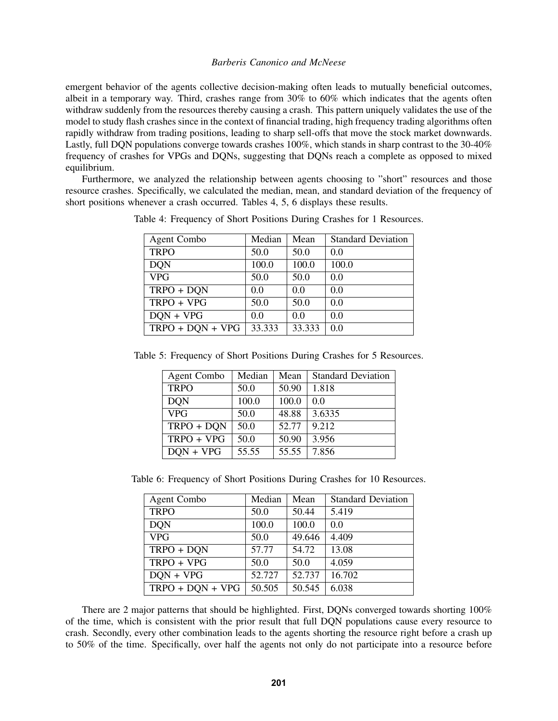emergent behavior of the agents collective decision-making often leads to mutually beneficial outcomes, albeit in a temporary way. Third, crashes range from 30% to 60% which indicates that the agents often withdraw suddenly from the resources thereby causing a crash. This pattern uniquely validates the use of the model to study flash crashes since in the context of financial trading, high frequency trading algorithms often rapidly withdraw from trading positions, leading to sharp sell-offs that move the stock market downwards. Lastly, full DQN populations converge towards crashes 100%, which stands in sharp contrast to the 30-40% frequency of crashes for VPGs and DQNs, suggesting that DQNs reach a complete as opposed to mixed equilibrium.

Furthermore, we analyzed the relationship between agents choosing to "short" resources and those resource crashes. Specifically, we calculated the median, mean, and standard deviation of the frequency of short positions whenever a crash occurred. Tables [4,](#page-8-0) [5,](#page-8-1) [6](#page-8-2) displays these results.

<span id="page-8-0"></span>

| Agent Combo        | Median | Mean   | <b>Standard Deviation</b> |
|--------------------|--------|--------|---------------------------|
| <b>TRPO</b>        | 50.0   | 50.0   | 0.0                       |
| <b>DQN</b>         | 100.0  | 100.0  | 100.0                     |
| <b>VPG</b>         | 50.0   | 50.0   | 0.0                       |
| $TRPO + DQN$       | 0.0    | 0.0    | 0.0                       |
| TRPO + VPG         | 50.0   | 50.0   | 0.0                       |
| $DON + VPG$        | 0.0    | 0.0    | 0.0                       |
| $TRPO + DON + VPG$ | 33.333 | 33.333 | 0.0                       |

Table 4: Frequency of Short Positions During Crashes for 1 Resources.

Table 5: Frequency of Short Positions During Crashes for 5 Resources.

<span id="page-8-1"></span>

| <b>Agent Combo</b> | Median | Mean  | <b>Standard Deviation</b> |
|--------------------|--------|-------|---------------------------|
| <b>TRPO</b>        | 50.0   | 50.90 | 1.818                     |
| <b>DON</b>         | 100.0  | 100.0 | 0.0                       |
| VPG                | 50.0   | 48.88 | 3.6335                    |
| $TRPO + DQN$       | 50.0   | 52.77 | 9.212                     |
| TRPO + VPG         | 50.0   | 50.90 | 3.956                     |
| $DON + VPG$        | 55.55  | 55.55 | 7.856                     |

Table 6: Frequency of Short Positions During Crashes for 10 Resources.

<span id="page-8-2"></span>

| Agent Combo        | Median | Mean   | <b>Standard Deviation</b> |
|--------------------|--------|--------|---------------------------|
| <b>TRPO</b>        | 50.0   | 50.44  | 5.419                     |
| <b>DON</b>         | 100.0  | 100.0  | 0.0                       |
| <b>VPG</b>         | 50.0   | 49.646 | 4.409                     |
| $TRPO + DQN$       | 57.77  | 54.72  | 13.08                     |
| TRPO + VPG         | 50.0   | 50.0   | 4.059                     |
| $DQN + VPG$        | 52.727 | 52.737 | 16.702                    |
| $TRPO + DON + VPG$ | 50.505 | 50.545 | 6.038                     |

There are 2 major patterns that should be highlighted. First, DQNs converged towards shorting 100% of the time, which is consistent with the prior result that full DQN populations cause every resource to crash. Secondly, every other combination leads to the agents shorting the resource right before a crash up to 50% of the time. Specifically, over half the agents not only do not participate into a resource before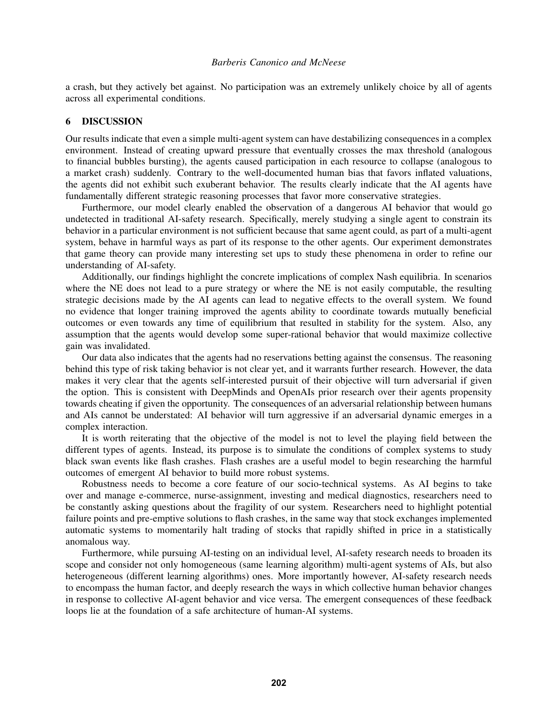a crash, but they actively bet against. No participation was an extremely unlikely choice by all of agents across all experimental conditions.

# 6 DISCUSSION

Our results indicate that even a simple multi-agent system can have destabilizing consequences in a complex environment. Instead of creating upward pressure that eventually crosses the max threshold (analogous to financial bubbles bursting), the agents caused participation in each resource to collapse (analogous to a market crash) suddenly. Contrary to the well-documented human bias that favors inflated valuations, the agents did not exhibit such exuberant behavior. The results clearly indicate that the AI agents have fundamentally different strategic reasoning processes that favor more conservative strategies.

Furthermore, our model clearly enabled the observation of a dangerous AI behavior that would go undetected in traditional AI-safety research. Specifically, merely studying a single agent to constrain its behavior in a particular environment is not sufficient because that same agent could, as part of a multi-agent system, behave in harmful ways as part of its response to the other agents. Our experiment demonstrates that game theory can provide many interesting set ups to study these phenomena in order to refine our understanding of AI-safety.

Additionally, our findings highlight the concrete implications of complex Nash equilibria. In scenarios where the NE does not lead to a pure strategy or where the NE is not easily computable, the resulting strategic decisions made by the AI agents can lead to negative effects to the overall system. We found no evidence that longer training improved the agents ability to coordinate towards mutually beneficial outcomes or even towards any time of equilibrium that resulted in stability for the system. Also, any assumption that the agents would develop some super-rational behavior that would maximize collective gain was invalidated.

Our data also indicates that the agents had no reservations betting against the consensus. The reasoning behind this type of risk taking behavior is not clear yet, and it warrants further research. However, the data makes it very clear that the agents self-interested pursuit of their objective will turn adversarial if given the option. This is consistent with DeepMinds and OpenAIs prior research over their agents propensity towards cheating if given the opportunity. The consequences of an adversarial relationship between humans and AIs cannot be understated: AI behavior will turn aggressive if an adversarial dynamic emerges in a complex interaction.

It is worth reiterating that the objective of the model is not to level the playing field between the different types of agents. Instead, its purpose is to simulate the conditions of complex systems to study black swan events like flash crashes. Flash crashes are a useful model to begin researching the harmful outcomes of emergent AI behavior to build more robust systems.

Robustness needs to become a core feature of our socio-technical systems. As AI begins to take over and manage e-commerce, nurse-assignment, investing and medical diagnostics, researchers need to be constantly asking questions about the fragility of our system. Researchers need to highlight potential failure points and pre-emptive solutions to flash crashes, in the same way that stock exchanges implemented automatic systems to momentarily halt trading of stocks that rapidly shifted in price in a statistically anomalous way.

Furthermore, while pursuing AI-testing on an individual level, AI-safety research needs to broaden its scope and consider not only homogeneous (same learning algorithm) multi-agent systems of AIs, but also heterogeneous (different learning algorithms) ones. More importantly however, AI-safety research needs to encompass the human factor, and deeply research the ways in which collective human behavior changes in response to collective AI-agent behavior and vice versa. The emergent consequences of these feedback loops lie at the foundation of a safe architecture of human-AI systems.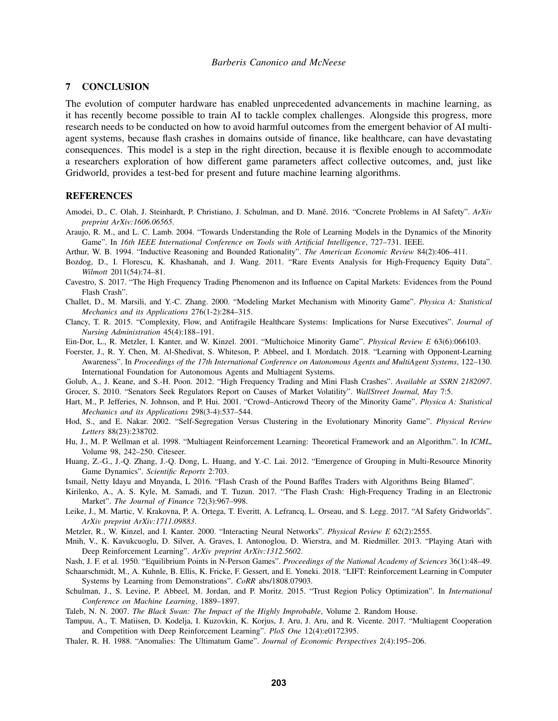#### 7 CONCLUSION

The evolution of computer hardware has enabled unprecedented advancements in machine learning, as it has recently become possible to train AI to tackle complex challenges. Alongside this progress, more research needs to be conducted on how to avoid harmful outcomes from the emergent behavior of AI multiagent systems, because flash crashes in domains outside of finance, like healthcare, can have devastating consequences. This model is a step in the right direction, because it is flexible enough to accommodate a researchers exploration of how different game parameters affect collective outcomes, and, just like Gridworld, provides a test-bed for present and future machine learning algorithms.

#### REFERENCES

- <span id="page-10-4"></span>Amodei, D., C. Olah, J. Steinhardt, P. Christiano, J. Schulman, and D. Mané. 2016. "Concrete Problems in AI Safety". ArXiv *preprint ArXiv:1606.06565*.
- <span id="page-10-20"></span>Araujo, R. M., and L. C. Lamb. 2004. "Towards Understanding the Role of Learning Models in the Dynamics of the Minority Game". In *16th IEEE International Conference on Tools with Artificial Intelligence*, 727–731. IEEE.
- <span id="page-10-18"></span>Arthur, W. B. 1994. "Inductive Reasoning and Bounded Rationality". *The American Economic Review* 84(2):406–411.
- <span id="page-10-7"></span>Bozdog, D., I. Florescu, K. Khashanah, and J. Wang. 2011. "Rare Events Analysis for High-Frequency Equity Data". *Wilmott* 2011(54):74–81.
- <span id="page-10-11"></span>Cavestro, S. 2017. "The High Frequency Trading Phenomenon and its Influence on Capital Markets: Evidences from the Pound Flash Crash".
- <span id="page-10-15"></span>Challet, D., M. Marsili, and Y.-C. Zhang. 2000. "Modeling Market Mechanism with Minority Game". *Physica A: Statistical Mechanics and its Applications* 276(1-2):284–315.
- <span id="page-10-12"></span>Clancy, T. R. 2015. "Complexity, Flow, and Antifragile Healthcare Systems: Implications for Nurse Executives". *Journal of Nursing Administration* 45(4):188–191.
- <span id="page-10-19"></span>Ein-Dor, L., R. Metzler, I. Kanter, and W. Kinzel. 2001. "Multichoice Minority Game". *Physical Review E* 63(6):066103.
- <span id="page-10-1"></span>Foerster, J., R. Y. Chen, M. Al-Shedivat, S. Whiteson, P. Abbeel, and I. Mordatch. 2018. "Learning with Opponent-Learning Awareness". In *Proceedings of the 17th International Conference on Autonomous Agents and MultiAgent Systems*, 122–130. International Foundation for Autonomous Agents and Multiagent Systems.
- <span id="page-10-0"></span>Golub, A., J. Keane, and S.-H. Poon. 2012. "High Frequency Trading and Mini Flash Crashes". *Available at SSRN 2182097*.
- <span id="page-10-9"></span>Grocer, S. 2010. "Senators Seek Regulators Report on Causes of Market Volatility". *WallStreet Journal, May* 7:5.
- <span id="page-10-17"></span>Hart, M., P. Jefferies, N. Johnson, and P. Hui. 2001. "Crowd–Anticrowd Theory of the Minority Game". *Physica A: Statistical Mechanics and its Applications* 298(3-4):537–544.
- <span id="page-10-16"></span>Hod, S., and E. Nakar. 2002. "Self-Segregation Versus Clustering in the Evolutionary Minority Game". *Physical Review Letters* 88(23):238702.
- <span id="page-10-3"></span>Hu, J., M. P. Wellman et al. 1998. "Multiagent Reinforcement Learning: Theoretical Framework and an Algorithm.". In *ICML*, Volume 98, 242–250. Citeseer.
- <span id="page-10-14"></span>Huang, Z.-G., J.-Q. Zhang, J.-Q. Dong, L. Huang, and Y.-C. Lai. 2012. "Emergence of Grouping in Multi-Resource Minority Game Dynamics". *Scientific Reports* 2:703.
- <span id="page-10-10"></span>Ismail, Netty Idayu and Mnyanda, L 2016. "Flash Crash of the Pound Baffles Traders with Algorithms Being Blamed".
- <span id="page-10-8"></span>Kirilenko, A., A. S. Kyle, M. Samadi, and T. Tuzun. 2017. "The Flash Crash: High-Frequency Trading in an Electronic Market". *The Journal of Finance* 72(3):967–998.
- <span id="page-10-6"></span>Leike, J., M. Martic, V. Krakovna, P. A. Ortega, T. Everitt, A. Lefrancq, L. Orseau, and S. Legg. 2017. "AI Safety Gridworlds". *ArXiv preprint ArXiv:1711.09883*.
- <span id="page-10-21"></span>Metzler, R., W. Kinzel, and I. Kanter. 2000. "Interacting Neural Networks". *Physical Review E* 62(2):2555.
- <span id="page-10-24"></span>Mnih, V., K. Kavukcuoglu, D. Silver, A. Graves, I. Antonoglou, D. Wierstra, and M. Riedmiller. 2013. "Playing Atari with Deep Reinforcement Learning". *ArXiv preprint ArXiv:1312.5602*.
- <span id="page-10-13"></span>Nash, J. F. et al. 1950. "Equilibrium Points in N-Person Games". *Proceedings of the National Academy of Sciences* 36(1):48–49.
- <span id="page-10-23"></span>Schaarschmidt, M., A. Kuhnle, B. Ellis, K. Fricke, F. Gessert, and E. Yoneki. 2018. "LIFT: Reinforcement Learning in Computer Systems by Learning from Demonstrations". *CoRR* abs/1808.07903.
- <span id="page-10-25"></span>Schulman, J., S. Levine, P. Abbeel, M. Jordan, and P. Moritz. 2015. "Trust Region Policy Optimization". In *International Conference on Machine Learning*, 1889–1897.

<span id="page-10-5"></span>Taleb, N. N. 2007. *The Black Swan: The Impact of the Highly Improbable*, Volume 2. Random House.

- <span id="page-10-2"></span>Tampuu, A., T. Matiisen, D. Kodelja, I. Kuzovkin, K. Korjus, J. Aru, J. Aru, and R. Vicente. 2017. "Multiagent Cooperation and Competition with Deep Reinforcement Learning". *PloS One* 12(4):e0172395.
- <span id="page-10-22"></span>Thaler, R. H. 1988. "Anomalies: The Ultimatum Game". *Journal of Economic Perspectives* 2(4):195–206.